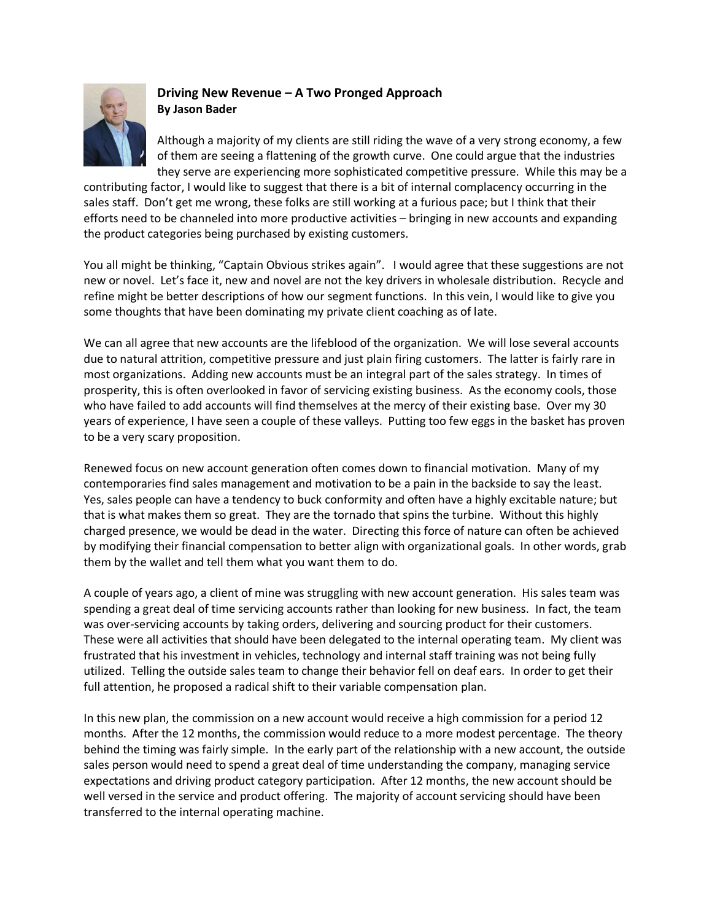

## **Driving New Revenue – A Two Pronged Approach By Jason Bader**

Although a majority of my clients are still riding the wave of a very strong economy, a few of them are seeing a flattening of the growth curve. One could argue that the industries they serve are experiencing more sophisticated competitive pressure. While this may be a

contributing factor, I would like to suggest that there is a bit of internal complacency occurring in the sales staff. Don't get me wrong, these folks are still working at a furious pace; but I think that their efforts need to be channeled into more productive activities – bringing in new accounts and expanding the product categories being purchased by existing customers.

You all might be thinking, "Captain Obvious strikes again". I would agree that these suggestions are not new or novel. Let's face it, new and novel are not the key drivers in wholesale distribution. Recycle and refine might be better descriptions of how our segment functions. In this vein, I would like to give you some thoughts that have been dominating my private client coaching as of late.

We can all agree that new accounts are the lifeblood of the organization. We will lose several accounts due to natural attrition, competitive pressure and just plain firing customers. The latter is fairly rare in most organizations. Adding new accounts must be an integral part of the sales strategy. In times of prosperity, this is often overlooked in favor of servicing existing business. As the economy cools, those who have failed to add accounts will find themselves at the mercy of their existing base. Over my 30 years of experience, I have seen a couple of these valleys. Putting too few eggs in the basket has proven to be a very scary proposition.

Renewed focus on new account generation often comes down to financial motivation. Many of my contemporaries find sales management and motivation to be a pain in the backside to say the least. Yes, sales people can have a tendency to buck conformity and often have a highly excitable nature; but that is what makes them so great. They are the tornado that spins the turbine. Without this highly charged presence, we would be dead in the water. Directing this force of nature can often be achieved by modifying their financial compensation to better align with organizational goals. In other words, grab them by the wallet and tell them what you want them to do.

A couple of years ago, a client of mine was struggling with new account generation. His sales team was spending a great deal of time servicing accounts rather than looking for new business. In fact, the team was over-servicing accounts by taking orders, delivering and sourcing product for their customers. These were all activities that should have been delegated to the internal operating team. My client was frustrated that his investment in vehicles, technology and internal staff training was not being fully utilized. Telling the outside sales team to change their behavior fell on deaf ears. In order to get their full attention, he proposed a radical shift to their variable compensation plan.

In this new plan, the commission on a new account would receive a high commission for a period 12 months. After the 12 months, the commission would reduce to a more modest percentage. The theory behind the timing was fairly simple. In the early part of the relationship with a new account, the outside sales person would need to spend a great deal of time understanding the company, managing service expectations and driving product category participation. After 12 months, the new account should be well versed in the service and product offering. The majority of account servicing should have been transferred to the internal operating machine.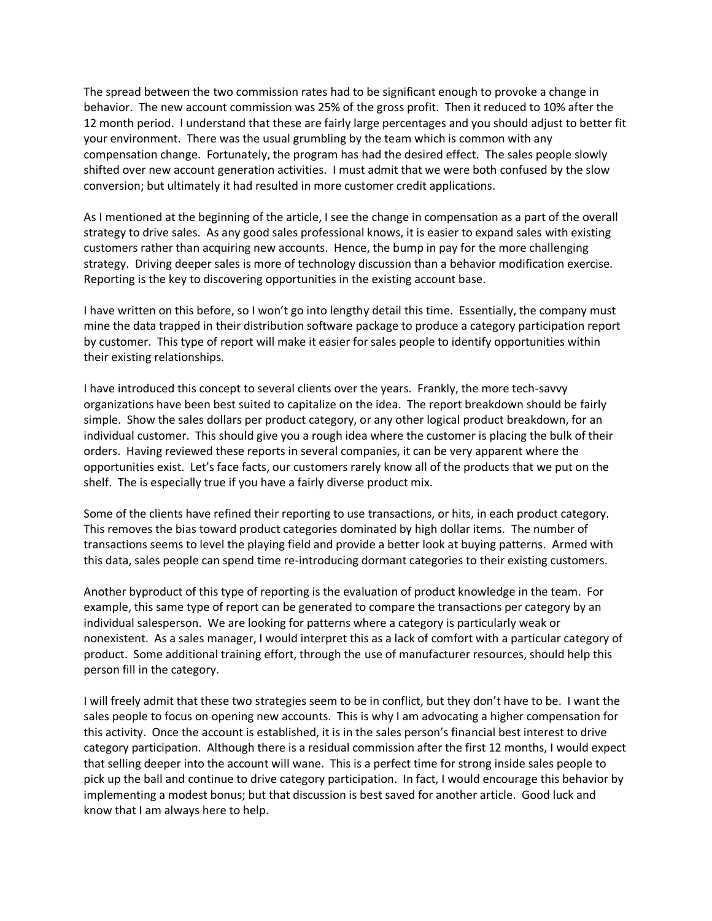The spread between the two commission rates had to be significant enough to provoke a change in behavior. The new account commission was 25% of the gross profit. Then it reduced to 10% after the 12 month period. I understand that these are fairly large percentages and you should adjust to better fit your environment. There was the usual grumbling by the team which is common with any compensation change. Fortunately, the program has had the desired effect. The sales people slowly shifted over new account generation activities. I must admit that we were both confused by the slow conversion; but ultimately it had resulted in more customer credit applications.

As I mentioned at the beginning of the article, I see the change in compensation as a part of the overall strategy to drive sales. As any good sales professional knows, it is easier to expand sales with existing customers rather than acquiring new accounts. Hence, the bump in pay for the more challenging strategy. Driving deeper sales is more of technology discussion than a behavior modification exercise. Reporting is the key to discovering opportunities in the existing account base.

I have written on this before, so I won't go into lengthy detail this time. Essentially, the company must mine the data trapped in their distribution software package to produce a category participation report by customer. This type of report will make it easier for sales people to identify opportunities within their existing relationships.

I have introduced this concept to several clients over the years. Frankly, the more tech-savvy organizations have been best suited to capitalize on the idea. The report breakdown should be fairly simple. Show the sales dollars per product category, or any other logical product breakdown, for an individual customer. This should give you a rough idea where the customer is placing the bulk of their orders. Having reviewed these reports in several companies, it can be very apparent where the opportunities exist. Let's face facts, our customers rarely know all of the products that we put on the shelf. The is especially true if you have a fairly diverse product mix.

Some of the clients have refined their reporting to use transactions, or hits, in each product category. This removes the bias toward product categories dominated by high dollar items. The number of transactions seems to level the playing field and provide a better look at buying patterns. Armed with this data, sales people can spend time re-introducing dormant categories to their existing customers.

Another byproduct of this type of reporting is the evaluation of product knowledge in the team. For example, this same type of report can be generated to compare the transactions per category by an individual salesperson. We are looking for patterns where a category is particularly weak or nonexistent. As a sales manager, I would interpret this as a lack of comfort with a particular category of product. Some additional training effort, through the use of manufacturer resources, should help this person fill in the category.

I will freely admit that these two strategies seem to be in conflict, but they don't have to be. I want the sales people to focus on opening new accounts. This is why I am advocating a higher compensation for this activity. Once the account is established, it is in the sales person's financial best interest to drive category participation. Although there is a residual commission after the first 12 months, I would expect that selling deeper into the account will wane. This is a perfect time for strong inside sales people to pick up the ball and continue to drive category participation. In fact, I would encourage this behavior by implementing a modest bonus; but that discussion is best saved for another article. Good luck and know that I am always here to help.